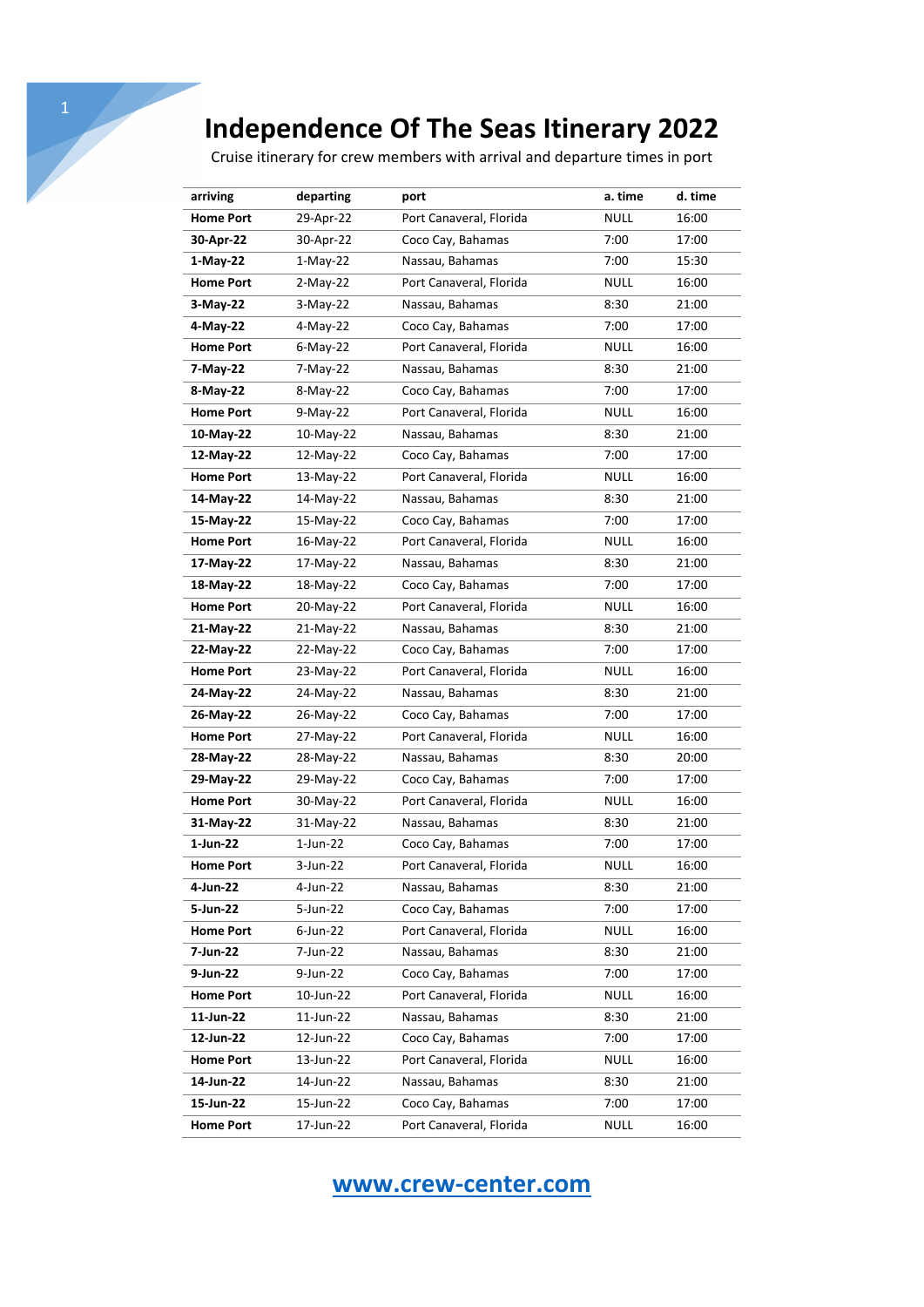Cruise itinerary for crew members with arrival and departure times in port

| arriving         | departing   | port                    | a. time     | d. time |
|------------------|-------------|-------------------------|-------------|---------|
| <b>Home Port</b> | 29-Apr-22   | Port Canaveral, Florida | <b>NULL</b> | 16:00   |
| 30-Apr-22        | 30-Apr-22   | Coco Cay, Bahamas       | 7:00        | 17:00   |
| $1-May-22$       | $1-May-22$  | Nassau, Bahamas         | 7:00        | 15:30   |
| <b>Home Port</b> | $2-May-22$  | Port Canaveral, Florida | <b>NULL</b> | 16:00   |
| 3-May-22         | $3-May-22$  | Nassau, Bahamas         | 8:30        | 21:00   |
| 4-May-22         | 4-May-22    | Coco Cay, Bahamas       | 7:00        | 17:00   |
| <b>Home Port</b> | $6$ -May-22 | Port Canaveral, Florida | <b>NULL</b> | 16:00   |
| 7-May-22         | 7-May-22    | Nassau, Bahamas         | 8:30        | 21:00   |
| 8-May-22         | 8-May-22    | Coco Cay, Bahamas       | 7:00        | 17:00   |
| <b>Home Port</b> | $9-May-22$  | Port Canaveral, Florida | <b>NULL</b> | 16:00   |
| 10-May-22        | 10-May-22   | Nassau, Bahamas         | 8:30        | 21:00   |
| 12-May-22        | 12-May-22   | Coco Cay, Bahamas       | 7:00        | 17:00   |
| <b>Home Port</b> | 13-May-22   | Port Canaveral, Florida | <b>NULL</b> | 16:00   |
| 14-May-22        | 14-May-22   | Nassau, Bahamas         | 8:30        | 21:00   |
| 15-May-22        | 15-May-22   | Coco Cay, Bahamas       | 7:00        | 17:00   |
| <b>Home Port</b> | 16-May-22   | Port Canaveral, Florida | <b>NULL</b> | 16:00   |
| 17-May-22        | 17-May-22   | Nassau, Bahamas         | 8:30        | 21:00   |
| 18-May-22        | 18-May-22   | Coco Cay, Bahamas       | 7:00        | 17:00   |
| <b>Home Port</b> | 20-May-22   | Port Canaveral, Florida | <b>NULL</b> | 16:00   |
| 21-May-22        | 21-May-22   | Nassau, Bahamas         | 8:30        | 21:00   |
| 22-May-22        | 22-May-22   | Coco Cay, Bahamas       | 7:00        | 17:00   |
| <b>Home Port</b> | 23-May-22   | Port Canaveral, Florida | <b>NULL</b> | 16:00   |
| 24-May-22        | 24-May-22   | Nassau, Bahamas         | 8:30        | 21:00   |
| 26-May-22        | 26-May-22   | Coco Cay, Bahamas       | 7:00        | 17:00   |
| <b>Home Port</b> | 27-May-22   | Port Canaveral, Florida | <b>NULL</b> | 16:00   |
| 28-May-22        | 28-May-22   | Nassau, Bahamas         | 8:30        | 20:00   |
| 29-May-22        | 29-May-22   | Coco Cay, Bahamas       | 7:00        | 17:00   |
| <b>Home Port</b> | 30-May-22   | Port Canaveral, Florida | <b>NULL</b> | 16:00   |
| 31-May-22        | 31-May-22   | Nassau, Bahamas         | 8:30        | 21:00   |
| 1-Jun-22         | 1-Jun-22    | Coco Cay, Bahamas       | 7:00        | 17:00   |
| <b>Home Port</b> | 3-Jun-22    | Port Canaveral, Florida | <b>NULL</b> | 16:00   |
| 4-Jun-22         | 4-Jun-22    | Nassau, Bahamas         | 8:30        | 21:00   |
| 5-Jun-22         | 5-Jun-22    | Coco Cay, Bahamas       | 7:00        | 17:00   |
| <b>Home Port</b> | 6-Jun-22    | Port Canaveral, Florida | <b>NULL</b> | 16:00   |
| 7-Jun-22         | 7-Jun-22    | Nassau, Bahamas         | 8:30        | 21:00   |
| 9-Jun-22         | 9-Jun-22    | Coco Cay, Bahamas       | 7:00        | 17:00   |
| <b>Home Port</b> | 10-Jun-22   | Port Canaveral, Florida | <b>NULL</b> | 16:00   |
| 11-Jun-22        | 11-Jun-22   | Nassau, Bahamas         | 8:30        | 21:00   |
| 12-Jun-22        | 12-Jun-22   | Coco Cay, Bahamas       | 7:00        | 17:00   |
| <b>Home Port</b> | 13-Jun-22   | Port Canaveral, Florida | <b>NULL</b> | 16:00   |
| 14-Jun-22        | 14-Jun-22   | Nassau, Bahamas         | 8:30        | 21:00   |
| 15-Jun-22        | 15-Jun-22   | Coco Cay, Bahamas       | 7:00        | 17:00   |
| <b>Home Port</b> | 17-Jun-22   | Port Canaveral, Florida | <b>NULL</b> | 16:00   |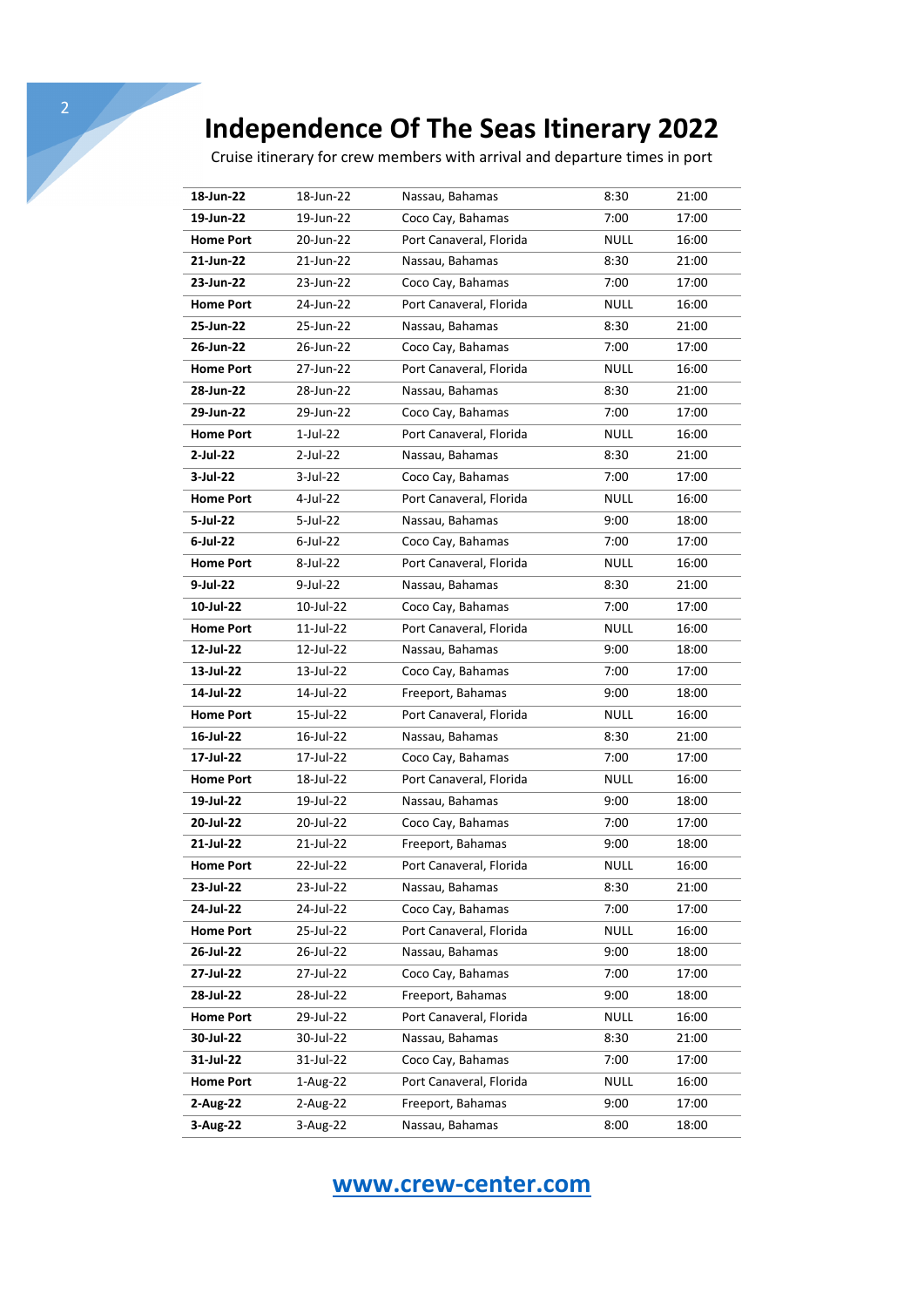Cruise itinerary for crew members with arrival and departure times in port

| 18-Jun-22        | 18-Jun-22   | Nassau, Bahamas         | 8:30        | 21:00 |
|------------------|-------------|-------------------------|-------------|-------|
| 19-Jun-22        | 19-Jun-22   | Coco Cay, Bahamas       | 7:00        | 17:00 |
| <b>Home Port</b> | 20-Jun-22   | Port Canaveral, Florida | <b>NULL</b> | 16:00 |
| 21-Jun-22        | 21-Jun-22   | Nassau, Bahamas         | 8:30        | 21:00 |
| 23-Jun-22        | 23-Jun-22   | Coco Cay, Bahamas       | 7:00        | 17:00 |
| <b>Home Port</b> | 24-Jun-22   | Port Canaveral, Florida | <b>NULL</b> | 16:00 |
| 25-Jun-22        | 25-Jun-22   | Nassau, Bahamas         | 8:30        | 21:00 |
| 26-Jun-22        | 26-Jun-22   | Coco Cay, Bahamas       | 7:00        | 17:00 |
| <b>Home Port</b> | 27-Jun-22   | Port Canaveral, Florida | <b>NULL</b> | 16:00 |
| 28-Jun-22        | 28-Jun-22   | Nassau, Bahamas         | 8:30        | 21:00 |
| 29-Jun-22        | 29-Jun-22   | Coco Cay, Bahamas       | 7:00        | 17:00 |
| <b>Home Port</b> | 1-Jul-22    | Port Canaveral, Florida | <b>NULL</b> | 16:00 |
| 2-Jul-22         | 2-Jul-22    | Nassau, Bahamas         | 8:30        | 21:00 |
| 3-Jul-22         | 3-Jul-22    | Coco Cay, Bahamas       | 7:00        | 17:00 |
| <b>Home Port</b> | 4-Jul-22    | Port Canaveral, Florida | <b>NULL</b> | 16:00 |
| 5-Jul-22         | 5-Jul-22    | Nassau, Bahamas         | 9:00        | 18:00 |
| $6$ -Jul-22      | $6$ -Jul-22 | Coco Cay, Bahamas       | 7:00        | 17:00 |
| <b>Home Port</b> | 8-Jul-22    | Port Canaveral, Florida | <b>NULL</b> | 16:00 |
| 9-Jul-22         | 9-Jul-22    | Nassau, Bahamas         | 8:30        | 21:00 |
| 10-Jul-22        | 10-Jul-22   | Coco Cay, Bahamas       | 7:00        | 17:00 |
| <b>Home Port</b> | 11-Jul-22   | Port Canaveral, Florida | <b>NULL</b> | 16:00 |
| 12-Jul-22        | 12-Jul-22   | Nassau, Bahamas         | 9:00        | 18:00 |
| 13-Jul-22        | 13-Jul-22   | Coco Cay, Bahamas       | 7:00        | 17:00 |
| 14-Jul-22        | 14-Jul-22   | Freeport, Bahamas       | 9:00        | 18:00 |
| <b>Home Port</b> | 15-Jul-22   | Port Canaveral, Florida | <b>NULL</b> | 16:00 |
| 16-Jul-22        | 16-Jul-22   | Nassau, Bahamas         | 8:30        | 21:00 |
| 17-Jul-22        | 17-Jul-22   | Coco Cay, Bahamas       | 7:00        | 17:00 |
| <b>Home Port</b> | 18-Jul-22   | Port Canaveral, Florida | <b>NULL</b> | 16:00 |
| 19-Jul-22        | 19-Jul-22   | Nassau, Bahamas         | 9:00        | 18:00 |
| 20-Jul-22        | 20-Jul-22   | Coco Cay, Bahamas       | 7:00        | 17:00 |
| 21-Jul-22        | 21-Jul-22   | Freeport, Bahamas       | 9:00        | 18:00 |
| <b>Home Port</b> | 22-Jul-22   | Port Canaveral, Florida | <b>NULL</b> | 16:00 |
| 23-Jul-22        | 23-Jul-22   | Nassau, Bahamas         | 8:30        | 21:00 |
| 24-Jul-22        | 24-Jul-22   | Coco Cay, Bahamas       | 7:00        | 17:00 |
| <b>Home Port</b> | 25-Jul-22   | Port Canaveral, Florida | <b>NULL</b> | 16:00 |
| 26-Jul-22        | 26-Jul-22   | Nassau, Bahamas         | 9:00        | 18:00 |
| 27-Jul-22        | 27-Jul-22   | Coco Cay, Bahamas       | 7:00        | 17:00 |
| 28-Jul-22        | 28-Jul-22   | Freeport, Bahamas       | 9:00        | 18:00 |
| <b>Home Port</b> | 29-Jul-22   | Port Canaveral, Florida | <b>NULL</b> | 16:00 |
| 30-Jul-22        | 30-Jul-22   | Nassau, Bahamas         | 8:30        | 21:00 |
| 31-Jul-22        | 31-Jul-22   | Coco Cay, Bahamas       | 7:00        | 17:00 |
| <b>Home Port</b> | 1-Aug-22    | Port Canaveral, Florida | <b>NULL</b> | 16:00 |
| 2-Aug-22         | 2-Aug-22    | Freeport, Bahamas       | 9:00        | 17:00 |
| 3-Aug-22         | 3-Aug-22    | Nassau, Bahamas         | 8:00        | 18:00 |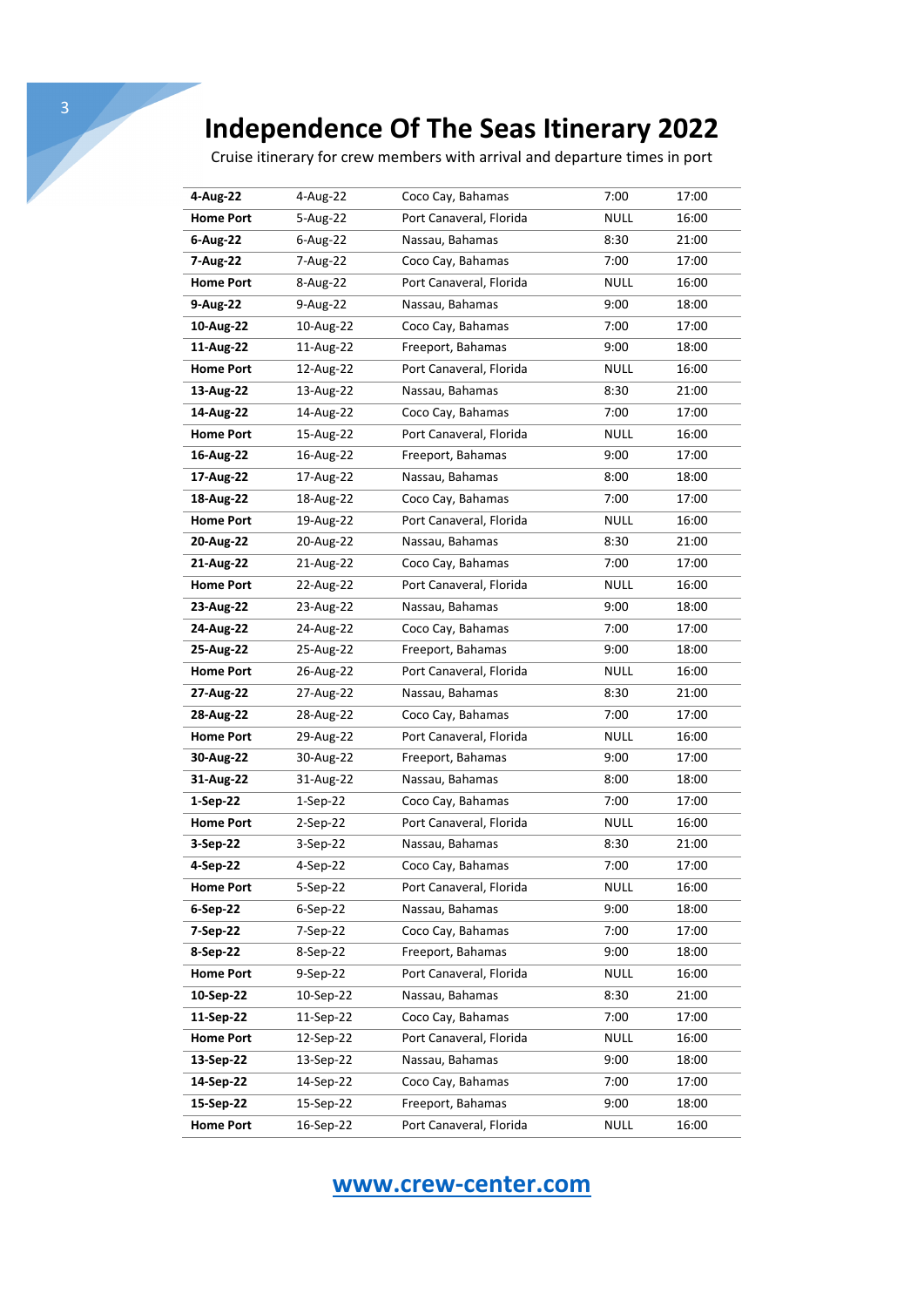Cruise itinerary for crew members with arrival and departure times in port

| 4-Aug-22         | 4-Aug-22   | Coco Cay, Bahamas       | 7:00        | 17:00 |
|------------------|------------|-------------------------|-------------|-------|
| <b>Home Port</b> | 5-Aug-22   | Port Canaveral, Florida | <b>NULL</b> | 16:00 |
| 6-Aug-22         | 6-Aug-22   | Nassau, Bahamas         | 8:30        | 21:00 |
| 7-Aug-22         | 7-Aug-22   | Coco Cay, Bahamas       | 7:00        | 17:00 |
| <b>Home Port</b> | 8-Aug-22   | Port Canaveral, Florida | <b>NULL</b> | 16:00 |
| 9-Aug-22         | 9-Aug-22   | Nassau, Bahamas         | 9:00        | 18:00 |
| 10-Aug-22        | 10-Aug-22  | Coco Cay, Bahamas       | 7:00        | 17:00 |
| 11-Aug-22        | 11-Aug-22  | Freeport, Bahamas       | 9:00        | 18:00 |
| <b>Home Port</b> | 12-Aug-22  | Port Canaveral, Florida | <b>NULL</b> | 16:00 |
| 13-Aug-22        | 13-Aug-22  | Nassau, Bahamas         | 8:30        | 21:00 |
| 14-Aug-22        | 14-Aug-22  | Coco Cay, Bahamas       | 7:00        | 17:00 |
| <b>Home Port</b> | 15-Aug-22  | Port Canaveral, Florida | <b>NULL</b> | 16:00 |
| 16-Aug-22        | 16-Aug-22  | Freeport, Bahamas       | 9:00        | 17:00 |
| 17-Aug-22        | 17-Aug-22  | Nassau, Bahamas         | 8:00        | 18:00 |
| 18-Aug-22        | 18-Aug-22  | Coco Cay, Bahamas       | 7:00        | 17:00 |
| <b>Home Port</b> | 19-Aug-22  | Port Canaveral, Florida | <b>NULL</b> | 16:00 |
| 20-Aug-22        | 20-Aug-22  | Nassau, Bahamas         | 8:30        | 21:00 |
| 21-Aug-22        | 21-Aug-22  | Coco Cay, Bahamas       | 7:00        | 17:00 |
| <b>Home Port</b> | 22-Aug-22  | Port Canaveral, Florida | <b>NULL</b> | 16:00 |
| 23-Aug-22        | 23-Aug-22  | Nassau, Bahamas         | 9:00        | 18:00 |
| 24-Aug-22        | 24-Aug-22  | Coco Cay, Bahamas       | 7:00        | 17:00 |
| 25-Aug-22        | 25-Aug-22  | Freeport, Bahamas       | 9:00        | 18:00 |
| <b>Home Port</b> | 26-Aug-22  | Port Canaveral, Florida | <b>NULL</b> | 16:00 |
| 27-Aug-22        | 27-Aug-22  | Nassau, Bahamas         | 8:30        | 21:00 |
| 28-Aug-22        | 28-Aug-22  | Coco Cay, Bahamas       | 7:00        | 17:00 |
| <b>Home Port</b> | 29-Aug-22  | Port Canaveral, Florida | <b>NULL</b> | 16:00 |
| 30-Aug-22        | 30-Aug-22  | Freeport, Bahamas       | 9:00        | 17:00 |
| 31-Aug-22        | 31-Aug-22  | Nassau, Bahamas         | 8:00        | 18:00 |
| $1-Sep-22$       | $1-Sep-22$ | Coco Cay, Bahamas       | 7:00        | 17:00 |
| <b>Home Port</b> | 2-Sep-22   | Port Canaveral, Florida | <b>NULL</b> | 16:00 |
| 3-Sep-22         | 3-Sep-22   | Nassau, Bahamas         | 8:30        | 21:00 |
| 4-Sep-22         | 4-Sep-22   | Coco Cay, Bahamas       | 7:00        | 17:00 |
| <b>Home Port</b> | 5-Sep-22   | Port Canaveral, Florida | NULL        | 16:00 |
| $6-Sep-22$       | 6-Sep-22   | Nassau, Bahamas         | 9:00        | 18:00 |
| 7-Sep-22         | 7-Sep-22   | Coco Cay, Bahamas       | 7:00        | 17:00 |
| 8-Sep-22         | 8-Sep-22   | Freeport, Bahamas       | 9:00        | 18:00 |
| <b>Home Port</b> | 9-Sep-22   | Port Canaveral, Florida | <b>NULL</b> | 16:00 |
| 10-Sep-22        | 10-Sep-22  | Nassau, Bahamas         | 8:30        | 21:00 |
| 11-Sep-22        | 11-Sep-22  | Coco Cay, Bahamas       | 7:00        | 17:00 |
| <b>Home Port</b> | 12-Sep-22  | Port Canaveral, Florida | <b>NULL</b> | 16:00 |
| 13-Sep-22        | 13-Sep-22  | Nassau, Bahamas         | 9:00        | 18:00 |
| 14-Sep-22        | 14-Sep-22  | Coco Cay, Bahamas       | 7:00        | 17:00 |
| 15-Sep-22        | 15-Sep-22  | Freeport, Bahamas       | 9:00        | 18:00 |
| <b>Home Port</b> | 16-Sep-22  | Port Canaveral, Florida | <b>NULL</b> | 16:00 |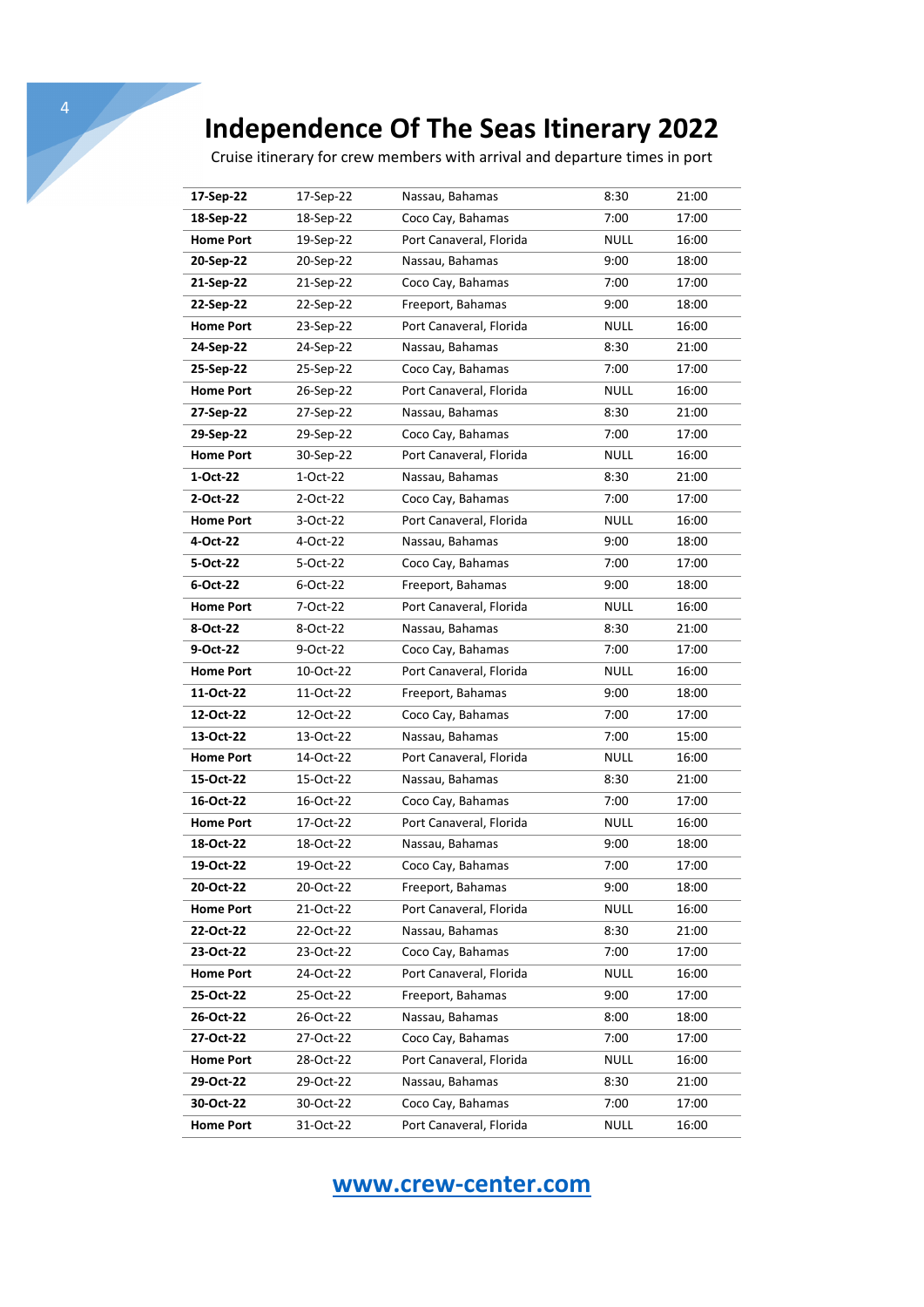4

Cruise itinerary for crew members with arrival and departure times in port

| 17-Sep-22        | 17-Sep-22 | Nassau, Bahamas         | 8:30        | 21:00 |
|------------------|-----------|-------------------------|-------------|-------|
| 18-Sep-22        | 18-Sep-22 | Coco Cay, Bahamas       | 7:00        | 17:00 |
| <b>Home Port</b> | 19-Sep-22 | Port Canaveral, Florida | <b>NULL</b> | 16:00 |
| 20-Sep-22        | 20-Sep-22 | Nassau, Bahamas         | 9:00        | 18:00 |
| 21-Sep-22        | 21-Sep-22 | Coco Cay, Bahamas       | 7:00        | 17:00 |
| 22-Sep-22        | 22-Sep-22 | Freeport, Bahamas       | 9:00        | 18:00 |
| <b>Home Port</b> | 23-Sep-22 | Port Canaveral, Florida | <b>NULL</b> | 16:00 |
| 24-Sep-22        | 24-Sep-22 | Nassau, Bahamas         | 8:30        | 21:00 |
| 25-Sep-22        | 25-Sep-22 | Coco Cay, Bahamas       | 7:00        | 17:00 |
| <b>Home Port</b> | 26-Sep-22 | Port Canaveral, Florida | <b>NULL</b> | 16:00 |
| 27-Sep-22        | 27-Sep-22 | Nassau, Bahamas         | 8:30        | 21:00 |
| 29-Sep-22        | 29-Sep-22 | Coco Cay, Bahamas       | 7:00        | 17:00 |
| <b>Home Port</b> | 30-Sep-22 | Port Canaveral, Florida | <b>NULL</b> | 16:00 |
| 1-Oct-22         | 1-Oct-22  | Nassau, Bahamas         | 8:30        | 21:00 |
| 2-Oct-22         | 2-Oct-22  | Coco Cay, Bahamas       | 7:00        | 17:00 |
| <b>Home Port</b> | 3-Oct-22  | Port Canaveral, Florida | <b>NULL</b> | 16:00 |
| 4-Oct-22         | 4-Oct-22  | Nassau, Bahamas         | 9:00        | 18:00 |
| 5-Oct-22         | 5-Oct-22  | Coco Cay, Bahamas       | 7:00        | 17:00 |
| 6-Oct-22         | 6-Oct-22  | Freeport, Bahamas       | 9:00        | 18:00 |
| <b>Home Port</b> | 7-Oct-22  | Port Canaveral, Florida | <b>NULL</b> | 16:00 |
| 8-Oct-22         | 8-Oct-22  | Nassau, Bahamas         | 8:30        | 21:00 |
| 9-Oct-22         | 9-Oct-22  | Coco Cay, Bahamas       | 7:00        | 17:00 |
| <b>Home Port</b> | 10-Oct-22 | Port Canaveral, Florida | <b>NULL</b> | 16:00 |
| 11-Oct-22        | 11-Oct-22 | Freeport, Bahamas       | 9:00        | 18:00 |
| 12-Oct-22        | 12-Oct-22 | Coco Cay, Bahamas       | 7:00        | 17:00 |
| 13-Oct-22        | 13-Oct-22 | Nassau, Bahamas         | 7:00        | 15:00 |
| <b>Home Port</b> | 14-Oct-22 | Port Canaveral, Florida | <b>NULL</b> | 16:00 |
| 15-Oct-22        | 15-Oct-22 | Nassau, Bahamas         | 8:30        | 21:00 |
| 16-Oct-22        | 16-Oct-22 | Coco Cay, Bahamas       | 7:00        | 17:00 |
| <b>Home Port</b> | 17-Oct-22 | Port Canaveral, Florida | <b>NULL</b> | 16:00 |
| 18-Oct-22        | 18-Oct-22 | Nassau, Bahamas         | 9:00        | 18:00 |
| 19-Oct-22        | 19-Oct-22 | Coco Cay, Bahamas       | 7:00        | 17:00 |
| 20-Oct-22        | 20-Oct-22 | Freeport, Bahamas       | 9:00        | 18:00 |
| <b>Home Port</b> | 21-Oct-22 | Port Canaveral, Florida | <b>NULL</b> | 16:00 |
| 22-Oct-22        | 22-Oct-22 | Nassau, Bahamas         | 8:30        | 21:00 |
| 23-Oct-22        | 23-Oct-22 | Coco Cay, Bahamas       | 7:00        | 17:00 |
| <b>Home Port</b> | 24-Oct-22 | Port Canaveral, Florida | <b>NULL</b> | 16:00 |
| 25-Oct-22        | 25-Oct-22 | Freeport, Bahamas       | 9:00        | 17:00 |
| 26-Oct-22        | 26-Oct-22 | Nassau, Bahamas         | 8:00        | 18:00 |
| 27-Oct-22        | 27-Oct-22 | Coco Cay, Bahamas       | 7:00        | 17:00 |
| <b>Home Port</b> | 28-Oct-22 | Port Canaveral, Florida | <b>NULL</b> | 16:00 |
| 29-Oct-22        | 29-Oct-22 | Nassau, Bahamas         | 8:30        | 21:00 |
| 30-Oct-22        | 30-Oct-22 | Coco Cay, Bahamas       | 7:00        | 17:00 |
| <b>Home Port</b> | 31-Oct-22 | Port Canaveral, Florida | <b>NULL</b> | 16:00 |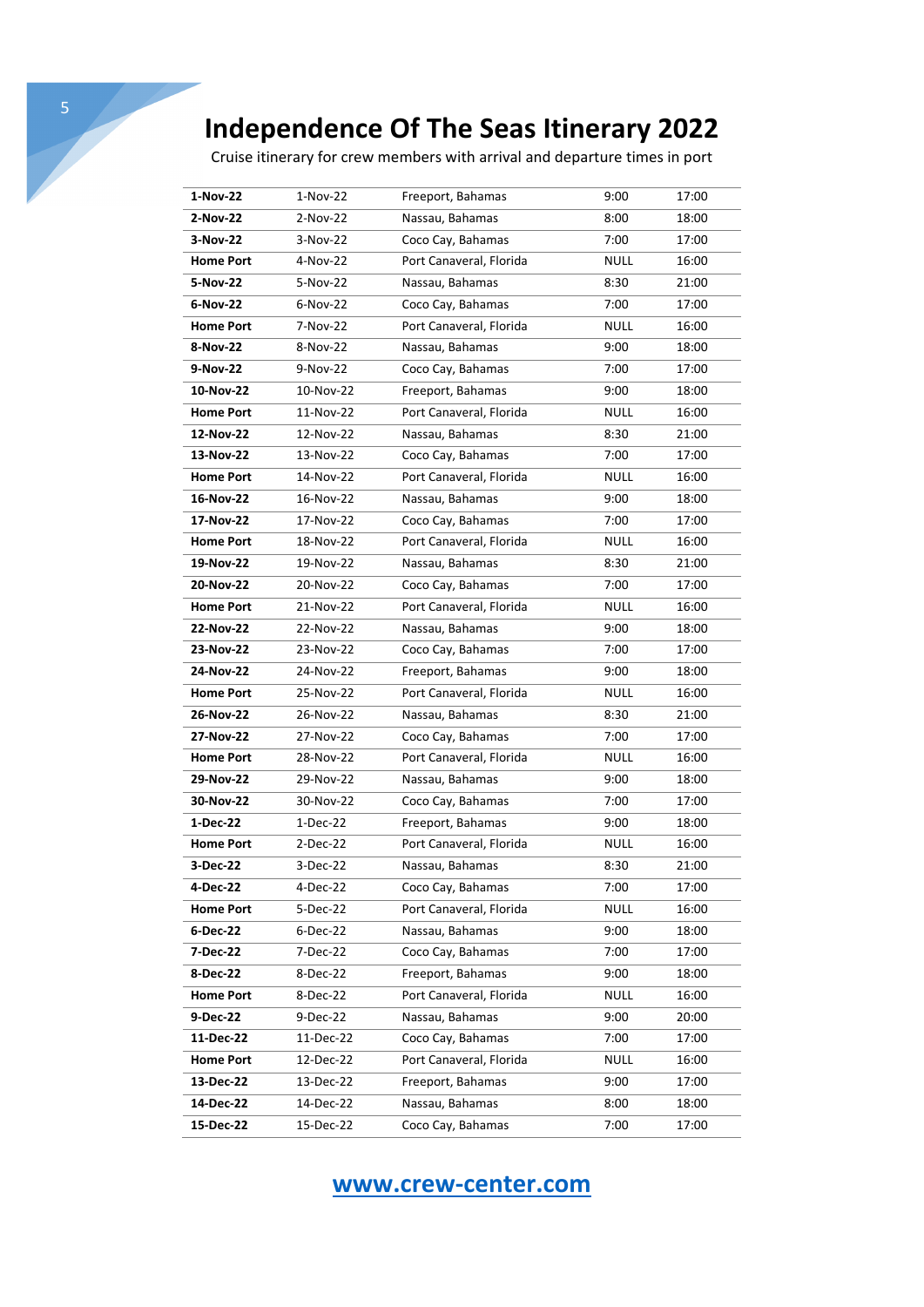Cruise itinerary for crew members with arrival and departure times in port

| 1-Nov-22         | $1-Nov-22$ | Freeport, Bahamas       | 9:00        | 17:00 |
|------------------|------------|-------------------------|-------------|-------|
| 2-Nov-22         | 2-Nov-22   | Nassau, Bahamas         | 8:00        | 18:00 |
| 3-Nov-22         | 3-Nov-22   | Coco Cay, Bahamas       | 7:00        | 17:00 |
| <b>Home Port</b> | 4-Nov-22   | Port Canaveral, Florida | <b>NULL</b> | 16:00 |
| 5-Nov-22         | 5-Nov-22   | Nassau, Bahamas         | 8:30        | 21:00 |
| 6-Nov-22         | 6-Nov-22   | Coco Cay, Bahamas       | 7:00        | 17:00 |
| <b>Home Port</b> | 7-Nov-22   | Port Canaveral, Florida | <b>NULL</b> | 16:00 |
| 8-Nov-22         | 8-Nov-22   | Nassau, Bahamas         | 9:00        | 18:00 |
| 9-Nov-22         | 9-Nov-22   | Coco Cay, Bahamas       | 7:00        | 17:00 |
| 10-Nov-22        | 10-Nov-22  | Freeport, Bahamas       | 9:00        | 18:00 |
| <b>Home Port</b> | 11-Nov-22  | Port Canaveral, Florida | <b>NULL</b> | 16:00 |
| 12-Nov-22        | 12-Nov-22  | Nassau, Bahamas         | 8:30        | 21:00 |
| 13-Nov-22        | 13-Nov-22  | Coco Cay, Bahamas       | 7:00        | 17:00 |
| <b>Home Port</b> | 14-Nov-22  | Port Canaveral, Florida | <b>NULL</b> | 16:00 |
| 16-Nov-22        | 16-Nov-22  | Nassau, Bahamas         | 9:00        | 18:00 |
| 17-Nov-22        | 17-Nov-22  | Coco Cay, Bahamas       | 7:00        | 17:00 |
| <b>Home Port</b> | 18-Nov-22  | Port Canaveral, Florida | <b>NULL</b> | 16:00 |
| 19-Nov-22        | 19-Nov-22  | Nassau, Bahamas         | 8:30        | 21:00 |
| 20-Nov-22        | 20-Nov-22  | Coco Cay, Bahamas       | 7:00        | 17:00 |
| <b>Home Port</b> | 21-Nov-22  | Port Canaveral, Florida | <b>NULL</b> | 16:00 |
| 22-Nov-22        | 22-Nov-22  | Nassau, Bahamas         | 9:00        | 18:00 |
| 23-Nov-22        | 23-Nov-22  | Coco Cay, Bahamas       | 7:00        | 17:00 |
| 24-Nov-22        | 24-Nov-22  | Freeport, Bahamas       | 9:00        | 18:00 |
| <b>Home Port</b> | 25-Nov-22  | Port Canaveral, Florida | <b>NULL</b> | 16:00 |
| 26-Nov-22        | 26-Nov-22  | Nassau, Bahamas         | 8:30        | 21:00 |
| 27-Nov-22        | 27-Nov-22  | Coco Cay, Bahamas       | 7:00        | 17:00 |
| <b>Home Port</b> | 28-Nov-22  | Port Canaveral, Florida | <b>NULL</b> | 16:00 |
| 29-Nov-22        | 29-Nov-22  | Nassau, Bahamas         | 9:00        | 18:00 |
| 30-Nov-22        | 30-Nov-22  | Coco Cay, Bahamas       | 7:00        | 17:00 |
| 1-Dec-22         | 1-Dec-22   | Freeport, Bahamas       | 9:00        | 18:00 |
| <b>Home Port</b> | 2-Dec-22   | Port Canaveral, Florida | <b>NULL</b> | 16:00 |
| 3-Dec-22         | 3-Dec-22   | Nassau, Bahamas         | 8:30        | 21:00 |
| 4-Dec-22         | 4-Dec-22   | Coco Cay, Bahamas       | 7:00        | 17:00 |
| <b>Home Port</b> | 5-Dec-22   | Port Canaveral, Florida | <b>NULL</b> | 16:00 |
| 6-Dec-22         | 6-Dec-22   | Nassau, Bahamas         | 9:00        | 18:00 |
| 7-Dec-22         | 7-Dec-22   | Coco Cay, Bahamas       | 7:00        | 17:00 |
| 8-Dec-22         | 8-Dec-22   | Freeport, Bahamas       | 9:00        | 18:00 |
| <b>Home Port</b> | 8-Dec-22   | Port Canaveral, Florida | <b>NULL</b> | 16:00 |
| 9-Dec-22         | 9-Dec-22   | Nassau, Bahamas         | 9:00        | 20:00 |
| 11-Dec-22        | 11-Dec-22  | Coco Cay, Bahamas       | 7:00        | 17:00 |
| <b>Home Port</b> | 12-Dec-22  | Port Canaveral, Florida | <b>NULL</b> | 16:00 |
| 13-Dec-22        | 13-Dec-22  | Freeport, Bahamas       | 9:00        | 17:00 |
| 14-Dec-22        | 14-Dec-22  | Nassau, Bahamas         | 8:00        | 18:00 |
| 15-Dec-22        | 15-Dec-22  | Coco Cay, Bahamas       | 7:00        | 17:00 |